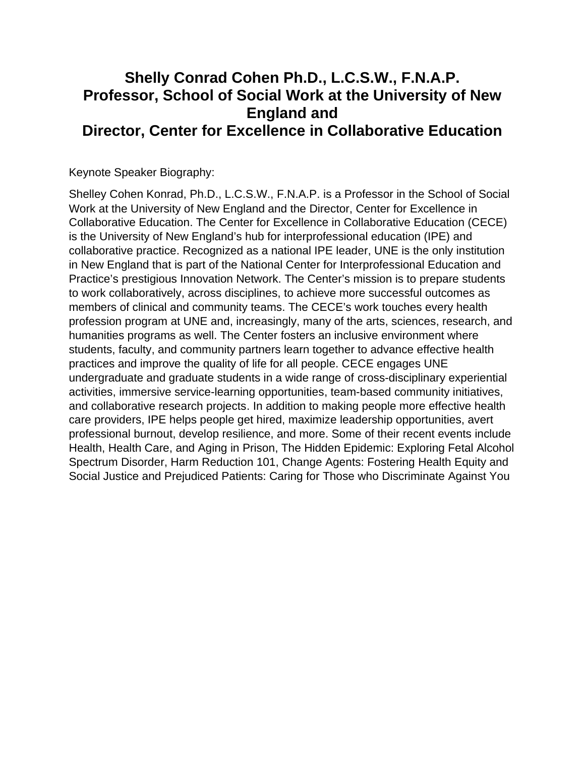## **Shelly Conrad Cohen Ph.D., L.C.S.W., F.N.A.P. Professor, School of Social Work at the University of New England and Director, Center for Excellence in Collaborative Education**

Keynote Speaker Biography:

Shelley Cohen Konrad, Ph.D., L.C.S.W., F.N.A.P. is a Professor in the School of Social Work at the University of New England and the Director, Center for Excellence in Collaborative Education. The Center for Excellence in Collaborative Education (CECE) is the University of New England's hub for interprofessional education (IPE) and collaborative practice. Recognized as a national IPE leader, UNE is the only institution in New England that is part of the National Center for Interprofessional Education and Practice's prestigious Innovation Network. The Center's mission is to prepare students to work collaboratively, across disciplines, to achieve more successful outcomes as members of clinical and community teams. The CECE's work touches every health profession program at UNE and, increasingly, many of the arts, sciences, research, and humanities programs as well. The Center fosters an inclusive environment where students, faculty, and community partners learn together to advance effective health practices and improve the quality of life for all people. CECE engages UNE undergraduate and graduate students in a wide range of [cross-disciplinary experiential](https://www.une.edu/cece/events)  [activities](https://www.une.edu/cece/events), [immersive service-learning opportunities,](https://www.une.edu/cece/students/team-immersion-ipti) team-based community initiatives, and [collaborative research projects](https://www.une.edu/cece/students/mini-grants). In addition to making people more effective health care providers, IPE helps people get hired, maximize leadership opportunities, avert professional burnout, develop resilience, and more. Some of their recent events include Health, Health Care, and Aging in Prison, The Hidden Epidemic: Exploring Fetal Alcohol Spectrum Disorder, Harm Reduction 101, Change Agents: Fostering Health Equity and Social Justice and Prejudiced Patients: Caring for Those who Discriminate Against You